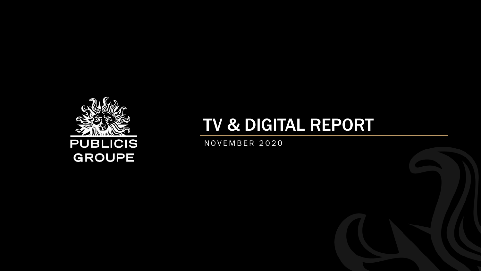

# TV & DIGITAL REPORT

N O V E M B E R 2 0 2 0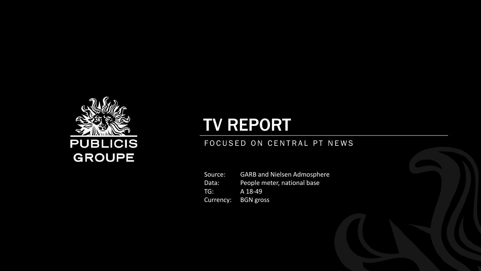

# TV REPORT

#### FOCUSED ON CENTRAL PT NEWS

Source: GARB and Nielsen Admosphere Data: People meter, national base TG: A 18-49 Currency: BGN gross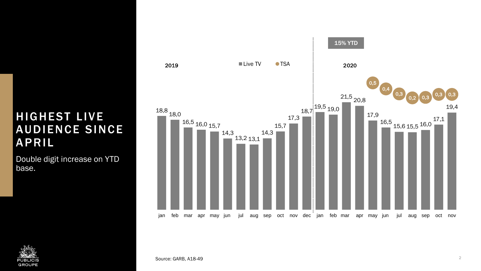## HIGHEST LIVE **AUDIENCE SINCE APRIL**

Double digit increase on YTD base.



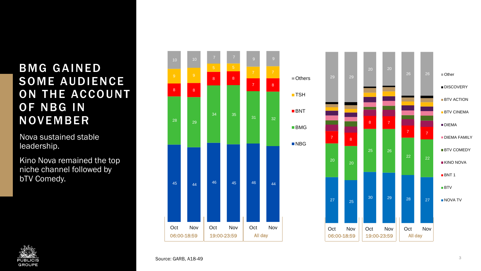## **BMG GAINED** SOME AUDIENCE ON THE ACCOUNT OF NBG IN NOVEMBER

Nova sustained stable leadership.

Kino Nova remained the top niche channel followed by bTV Comedy.





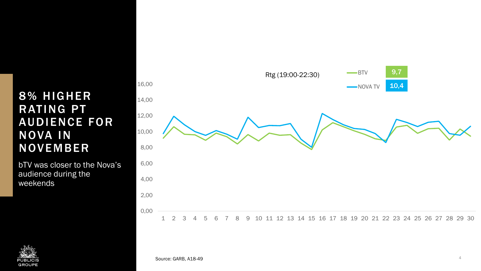## 8% HIGHER **RATING PT** AUDIENCE FOR NOVA IN NOVEMBER

bTV was closer to the Nova's audience during the weekends



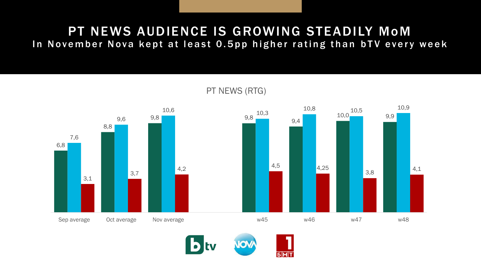# PT NEWS AUDIENCE IS GROWING STEADILY MoM

In November Nova kept at least 0.5pp higher rating than bTV every week



PT NEWS (RTG)

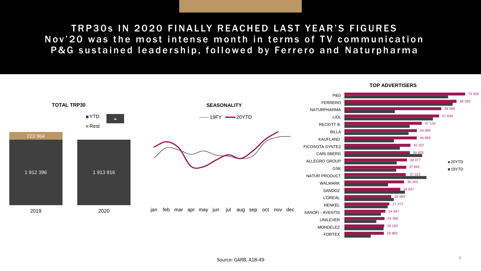#### TRP30s IN 2020 FINALLY REACHED LAST YEAR'S FIGURES Nov'20 was the most intense month in terms of TV communication P&G sustained leadership, followed by Ferrero and Naturpharma

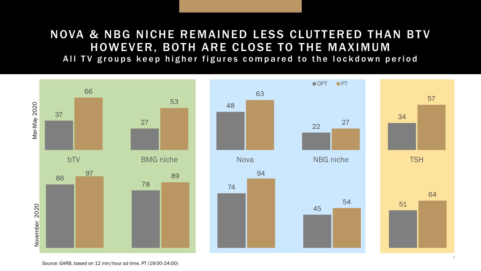## NOVA & NBG NICHE REMAINED LESS CLUTTERED THAN BTV HOWEVER, BOTH ARE CLOSE TO THE MAXIMUM

All TV groups keep higher figures compared to the lockdown period

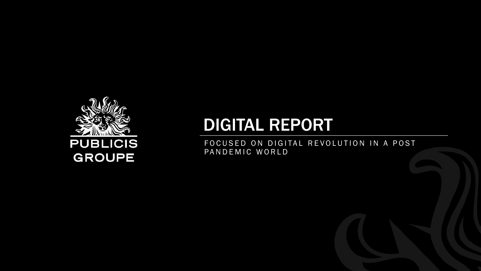

# DIGITAL REPORT

FOCUSED ON DIGITAL REVOLUTION IN A POST PANDEMIC WORLD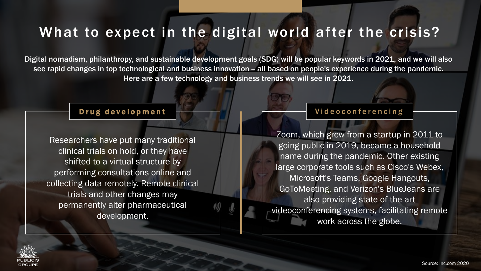# What to expect in the digital world after the crisis?

Digital nomadism, philanthropy, and sustainable development goals (SDG) will be popular keywords in 2021, and we will also see rapid changes in top technological and business innovation - all based on people's experience during the pandemic. Here are a few technology and business trends we will see in 2021.

Researchers have put many traditional clinical trials on hold, or they have shifted to a virtual structure by performing consultations online and collecting data remotely. Remote clinical trials and other changes may permanently alter pharmaceutical development.

#### Drug development **Example 1** and The United States of Prime of the Videoconferencing

Zoom, which grew from a startup in 2011 to going public in 2019, became a household name during the pandemic. Other existing large corporate tools such as Cisco's Webex, Microsoft's Teams, Google Hangouts, GoToMeeting, and Verizon's BlueJeans are also providing state-of-the-art videoconferencing systems, facilitating remote work across the globe.

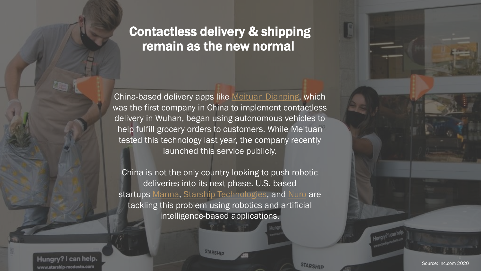# Contactless delivery & shipping remain as the new normal

China-based delivery apps like Meituan [Dianping,](https://about.meituan.com/en) which was the first company in China to implement contactless delivery in Wuhan, began using autonomous vehicles to help fulfill grocery orders to customers. While Meituan tested this technology last year, the company recently launched this service publicly.

China is not the only country looking to push robotic deliveries into its next phase. U.S.-based startups [Manna](https://www.manna.aero/), [Starship Technologies](https://www.starship.xyz/), and [Nuro](https://nuro.ai/) are tackling this problem using robotics and artificial intelligence-based applications.

**STARSHIP** 

Hungry? I can help. www.starship-modesto.com

**STARSHIP**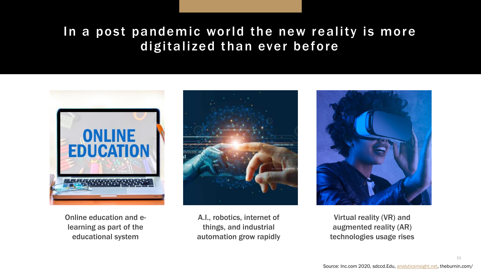# In a post pandemic world the new reality is more digitalized than ever before



Online education and elearning as part of the educational system



A.I., robotics, internet of things, and industrial automation grow rapidly



Virtual reality (VR) and augmented reality (AR) technologies usage rises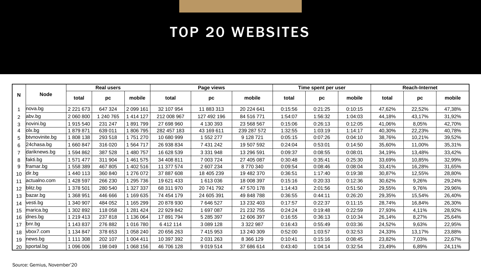# TOP 20 WEBSITES

| N               | <b>Node</b>    | <b>Real users</b> |         |           | Page views  |               |             | Time spent per user |         |         | <b>Reach-Internet</b> |        |        |
|-----------------|----------------|-------------------|---------|-----------|-------------|---------------|-------------|---------------------|---------|---------|-----------------------|--------|--------|
|                 |                | total             | pc      | mobile    | total       | pc            | mobile      | total               | рc      | mobile  | total                 | pc     | mobile |
|                 | nova.bg        | 2 2 2 1 6 7 3     | 647 324 | 2 099 161 | 32 107 954  | 11 883 313    | 20 224 641  | 0:15:56             | 0:21:25 | 0:10:15 | 47,62%                | 22,52% | 47,38% |
| 2               | abv.bg         | 2 060 800         | 240 765 | 1 414 127 | 212 008 967 | 127 492 196   | 84 516 771  | 1:54:07             | 1:56:32 | 1:04:03 | 44,18%                | 43,17% | 31,92% |
| 3               | hovini.bg      | 1915 540          | 231 247 | 891 799   | 27 698 960  | 4 130 393     | 23 568 567  | 0:15:06             | 0:26:13 | 0:12:05 | 41,06%                | 8,05%  | 42,70% |
| 4               | $\vert$ olx.bg | 1879871           | 639 011 | 1806795   | 282 457 183 | 43 169 611    | 239 287 572 | 1:32:55             | 1:03:19 | 1:14:17 | 40,30%                | 22,23% | 40,78% |
|                 | btvnovinite.bg | 1808138           | 293 518 | 1751270   | 10 680 999  | 1 552 277     | 9 128 721   | 0:05:15             | 0:07:26 | 0:04:10 | 38,76%                | 10,21% | 39,52% |
| 6.              | 24chasa.bg     | 1 660 847         | 316 020 | 1 564 717 | 26 938 834  | 7 431 242     | 19 507 592  | 0:24:04             | 0:53:01 | 0:14:50 | 35,60%                | 11,00% | 35,31% |
|                 | dariknews.bg   | 1 594 862         | 387 528 | 1 480 757 | 16 628 539  | 3 3 3 1 9 4 8 | 13 296 591  | 0:09:37             | 0:08:55 | 0:08:01 | 34,19%                | 13,48% | 33,42% |
| 8               | fakti.bg       | 1571477           | 311 904 | 1461575   | 34 408 811  | 7 003 724     | 27 405 087  | 0:30:48             | 0:35:41 | 0:25:30 | 33,69%                | 10,85% | 32,99% |
| 9               | ramar.bg       | 1 558 389         | 467805  | 1402516   | 11 377 574  | 2 607 234     | 8770340     | 0:09:54             | 0:08:46 | 0:08:04 | 33,41%                | 16,28% | 31,65% |
| 10              | dir.bg         | 1 440 113         | 360 840 | 1 276 072 | 37 887 608  | 18 405 239    | 19 482 370  | 0:36:51             | 1:17:40 | 0:19:38 | 30,87%                | 12,55% | 28,80% |
| 11              | actualno.com   | 428 597           | 266 230 | 1 295 736 | 19 621 433  | 1 613 036     | 18 008 397  | 0:15:16             | 0:20:33 | 0:12:36 | 30,62%                | 9,26%  | 29,24% |
| 12 <sup>7</sup> | blitz.bg       | 1 378 501         | 280 540 | 1 327 337 | 68 311 970  | 20 741 792    | 47 570 178  | 1:14:43             | 2:01:56 | 0:51:50 | 29,55%                | 9,76%  | 29,96% |
| 13              | bazar.bg       | 368 951           | 446 666 | 1 169 635 | 74 454 179  | 24 605 391    | 49 848 788  | 0:36:55             | 0:44:11 | 0:26:20 | 29,35%                | 15,54% | 26,40% |
| 14              | vesti.bg       | 1 340 907         | 484 052 | 1 165 299 | 20 878 930  | 7 646 527     | 13 232 403  | 0:17:57             | 0:22:37 | 0:11:15 | 28,74%                | 16,84% | 26,30% |
| 15              | marica.bg      | 1 302 892         | 118 058 | 1 281 424 | 22 929 842  | 1 697 087     | 21 232 755  | 0:24:24             | 0:19:48 | 0:22:59 | 27,93%                | 4,11%  | 28,92% |
| 16              | dnes.bg        | 1 219 413         | 237818  | 1 136 064 | 17 891 794  | 5 285 397     | 12 606 397  | 0:16:55             | 0:36:13 | 0:10:34 | 26,14%                | 8,27%  | 25,64% |
| 17              | bnr.bg         | 1 143 837         | 276 882 | 1016780   | 6 412 114   | 3 089 128     | 3 322 987   | 0:16:43             | 0:55:49 | 0:03:36 | 24,52%                | 9,63%  | 22,95% |
| 18              | vbox7.com      | 1 134 847         | 378 653 | 1 058 240 | 20 656 263  | 7 415 953     | 13 240 309  | 0:52:00             | 1:03:57 | 0:32:53 | 24,33%                | 13,17% | 23,88% |
| 19              | news.bg        | 1 111 308         | 202 107 | 1 004 411 | 10 397 392  | 2 0 31 2 63   | 8 3 6 1 2 9 | 0:10:41             | 0:15:16 | 0:08:45 | 23,82%                | 7,03%  | 22,67% |
|                 | 20 sportal.bg  | 1 096 006         | 198 049 | 1 068 156 | 46 706 128  | 9 0 1 9 5 1 4 | 37 686 614  | 0:43:40             | 1:04:14 | 0:32:54 | 23,49%                | 6,89%  | 24,11% |